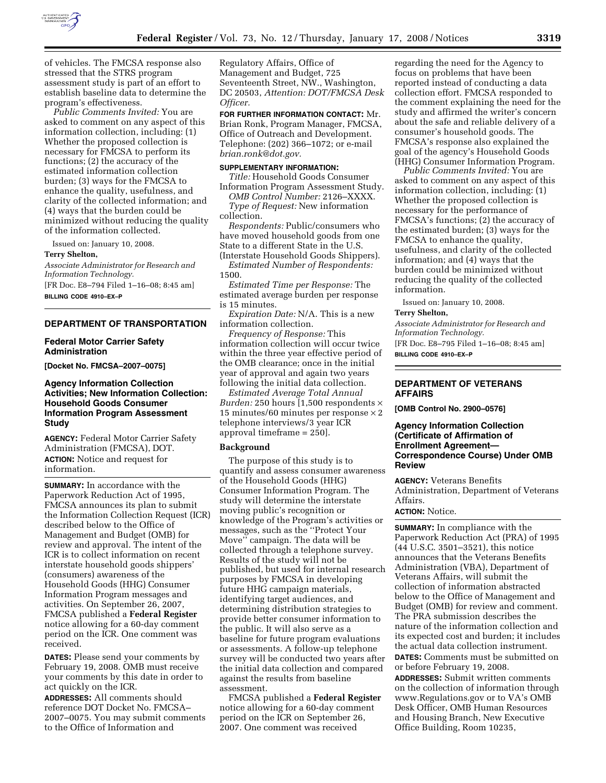

of vehicles. The FMCSA response also stressed that the STRS program assessment study is part of an effort to establish baseline data to determine the program's effectiveness.

*Public Comments Invited:* You are asked to comment on any aspect of this information collection, including: (1) Whether the proposed collection is necessary for FMCSA to perform its functions; (2) the accuracy of the estimated information collection burden; (3) ways for the FMCSA to enhance the quality, usefulness, and clarity of the collected information; and (4) ways that the burden could be minimized without reducing the quality of the information collected.

Issued on: January 10, 2008.

#### **Terry Shelton,**

*Associate Administrator for Research and Information Technology.*  [FR Doc. E8–794 Filed 1–16–08; 8:45 am]

**BILLING CODE 4910–EX–P** 

#### **DEPARTMENT OF TRANSPORTATION**

## **Federal Motor Carrier Safety Administration**

**[Docket No. FMCSA–2007–0075]** 

# **Agency Information Collection Activities; New Information Collection: Household Goods Consumer Information Program Assessment Study**

**AGENCY:** Federal Motor Carrier Safety Administration (FMCSA), DOT. **ACTION:** Notice and request for information.

**SUMMARY:** In accordance with the Paperwork Reduction Act of 1995, FMCSA announces its plan to submit the Information Collection Request (ICR) described below to the Office of Management and Budget (OMB) for review and approval. The intent of the ICR is to collect information on recent interstate household goods shippers' (consumers) awareness of the Household Goods (HHG) Consumer Information Program messages and activities. On September 26, 2007, FMCSA published a **Federal Register**  notice allowing for a 60-day comment period on the ICR. One comment was received.

**DATES:** Please send your comments by February 19, 2008. OMB must receive your comments by this date in order to act quickly on the ICR.

**ADDRESSES:** All comments should reference DOT Docket No. FMCSA– 2007–0075. You may submit comments to the Office of Information and

Regulatory Affairs, Office of Management and Budget, 725 Seventeenth Street, NW., Washington, DC 20503, *Attention: DOT/FMCSA Desk Officer.* 

**FOR FURTHER INFORMATION CONTACT:** Mr. Brian Ronk, Program Manager, FMCSA, Office of Outreach and Development. Telephone: (202) 366–1072; or e-mail *brian.ronk@dot.gov.* 

# **SUPPLEMENTARY INFORMATION:**

*Title:* Household Goods Consumer Information Program Assessment Study.

*OMB Control Number:* 2126–XXXX. *Type of Request:* New information collection.

*Respondents:* Public/consumers who have moved household goods from one State to a different State in the U.S. (Interstate Household Goods Shippers).

*Estimated Number of Respondents:*  1500.

*Estimated Time per Response:* The estimated average burden per response is 15 minutes.

*Expiration Date:* N/A. This is a new information collection.

*Frequency of Response:* This information collection will occur twice within the three year effective period of the OMB clearance; once in the initial year of approval and again two years following the initial data collection.

*Estimated Average Total Annual Burden:* 250 hours [1,500 respondents  $\times$ 15 minutes/60 minutes per response × 2 telephone interviews/3 year ICR approval timeframe = 250].

#### **Background**

The purpose of this study is to quantify and assess consumer awareness of the Household Goods (HHG) Consumer Information Program. The study will determine the interstate moving public's recognition or knowledge of the Program's activities or messages, such as the ''Protect Your Move'' campaign. The data will be collected through a telephone survey. Results of the study will not be published, but used for internal research purposes by FMCSA in developing future HHG campaign materials, identifying target audiences, and determining distribution strategies to provide better consumer information to the public. It will also serve as a baseline for future program evaluations or assessments. A follow-up telephone survey will be conducted two years after the initial data collection and compared against the results from baseline assessment.

FMCSA published a **Federal Register**  notice allowing for a 60-day comment period on the ICR on September 26, 2007. One comment was received

regarding the need for the Agency to focus on problems that have been reported instead of conducting a data collection effort. FMCSA responded to the comment explaining the need for the study and affirmed the writer's concern about the safe and reliable delivery of a consumer's household goods. The FMCSA's response also explained the goal of the agency's Household Goods (HHG) Consumer Information Program.

*Public Comments Invited:* You are asked to comment on any aspect of this information collection, including: (1) Whether the proposed collection is necessary for the performance of FMCSA's functions; (2) the accuracy of the estimated burden; (3) ways for the FMCSA to enhance the quality, usefulness, and clarity of the collected information; and (4) ways that the burden could be minimized without reducing the quality of the collected information.

Issued on: January 10, 2008.

#### **Terry Shelton,**

*Associate Administrator for Research and Information Technology.*  [FR Doc. E8–795 Filed 1–16–08; 8:45 am] **BILLING CODE 4910–EX–P** 

# **DEPARTMENT OF VETERANS AFFAIRS**

**[OMB Control No. 2900–0576]** 

## **Agency Information Collection (Certificate of Affirmation of Enrollment Agreement— Correspondence Course) Under OMB Review**

**AGENCY:** Veterans Benefits Administration, Department of Veterans Affairs.

# **ACTION:** Notice.

**SUMMARY:** In compliance with the Paperwork Reduction Act (PRA) of 1995 (44 U.S.C. 3501–3521), this notice announces that the Veterans Benefits Administration (VBA), Department of Veterans Affairs, will submit the collection of information abstracted below to the Office of Management and Budget (OMB) for review and comment. The PRA submission describes the nature of the information collection and its expected cost and burden; it includes the actual data collection instrument. **DATES:** Comments must be submitted on

or before February 19, 2008.

**ADDRESSES:** Submit written comments on the collection of information through www.Regulations.gov or to VA's OMB Desk Officer, OMB Human Resources and Housing Branch, New Executive Office Building, Room 10235,